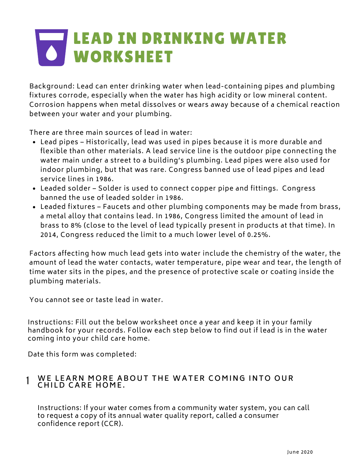# LEAD IN DRINKING WATER WORKSHEET

Background: Lead can enter drinking water when lead-containing pipes and plumbing fixtures corrode, especially when the water has high acidity or low mineral content. Corrosion happens when metal dissolves or wears away because of a chemical reaction between your water and your plumbing.

There are three main sources of lead in water:

- Lead pipes Historically, lead was used in pipes because it is more durable and flexible than other materials. A lead service line is the outdoor pipe connecting the water main under a street to a building's plumbing. Lead pipes were also used for indoor plumbing, but that was rare. Congress banned use of lead pipes and lead service lines in 1986.
- Leaded solder Solder is used to connect copper pipe and fittings. Congress banned the use of leaded solder in 1986.
- Leaded fixtures Faucets and other plumbing components may be made from brass, a metal alloy that contains lead. In 1986, Congress limited the amount of lead in brass to 8% (close to the level of lead typically present in products at that time). In 2014, Congress reduced the limit to a much lower level of 0.25%.

Factors affecting how much lead gets into water include the chemistry of the water, the amount of lead the water contacts, water temperature, pipe wear and tear, the length of time water sits in the pipes, and the presence of protective scale or coating inside the plumbing materials.

You cannot see or taste lead in water.

Instructions: Fill out the below worksheet once a year and keep it in your family handbook for your records. Follow each step below to find out if lead is in the water coming into your child care home.

Date this form was completed:

# 1 WE LEARN MORE ABOUT THE WATER COMING INTO OUR  $CHILD$  **CARE HOME.**

Instructions: If your water comes from a community water system, you can call to request a copy of its annual water quality report, called a consumer confidence report (CCR).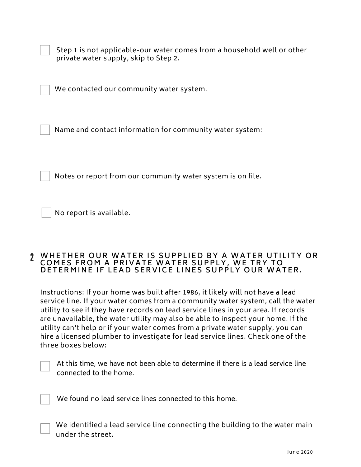Step 1 is not applicable-our water comes from a household well or other private water supply, skip to Step 2.

We contacted our community water system.

Name and contact information for community water system:

Notes or report from our community water system is on file.

No report is available.

# **2 WHETHER OUR WATER IS SUPPLIED BY A WATER UTILITY OR C O M E S F R O M A P R I V A T E W A T E R S U P P L Y , W E T R Y T O** D E T E R M I N E I F L E A D S E R V I C E L I N E S S U P P L Y O U R W A T E R .

Instructions: If your home was built after 1986, it likely will not have a lead service line. If your water comes from a community water system, call the water utility to see if they have records on lead service lines in your area. If records are unavailable, the water utility may also be able to inspect your home. If the utility can't help or if your water comes from a private water supply, you can hire a licensed plumber to investigate for lead service lines. Check one of the three boxes below:



At this time, we have not been able to determine if there is a lead service line connected to the home.

We found no lead service lines connected to this home.

We identified a lead service line connecting the building to the water main under the street.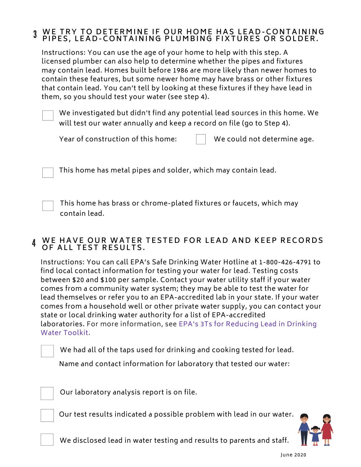#### 3 WE TRY TO DETERMINE IF OUR HOME HAS LEAD-CONTAINING PIPES, LEAD-CONTAINING PLUMBING FIXTURES OR SOLDER.

Instructions: You can use the age of your home to help with this step. A licensed plumber can also help to determine whether the pipes and fixtures may contain lead. Homes built before 1986 are more likely than newer homes to contain these features, but some newer home may have brass or other fixtures that contain lead. You can't tell by looking at these fixtures if they have lead in them, so you should test your water (see step 4).

We investigated but didn't find any potential lead sources in this home. We will test our water annually and keep a record on file (go to Step 4).

Year of construction of this home:  $\|\cdot\|$  We could not determine age.

This home has metal pipes and solder, which may contain lead.

This home has brass or chrome-plated fixtures or faucets, which may contain lead.

#### 4 WE HAVE OUR WATER TESTED FOR LEAD AND KEEP RECORDS **OF ALL TEST RESULTS.**

Instructions: You can call EPA's Safe Drinking Water Hotline at 1-800-426-4791 to find local contact information for testing your water for lead. Testing costs between \$20 and \$100 per sample. Contact your water utility staff if your water comes from a community water system; they may be able to test the water for lead themselves or refer you to an EPA-accredited lab in your state. If your water [comes from a household well or other private water supply, you can contact your](https://www.epa.gov/ground-water-and-drinking-water/3ts-reducing-lead-drinking-water-toolkit) state or local drinking water authority for a list of EPA-accredited laboratories. For more information, see EPA's 3Ts for Reducing Lead in Drinking Water Toolkit.

We had all of the taps used for drinking and cooking tested for lead.

Name and contact information for laboratory that tested our water:

Our laboratory analysis report is on file.

Our test results indicated a possible problem with lead in our water.



We disclosed lead in water testing and results to parents and staff.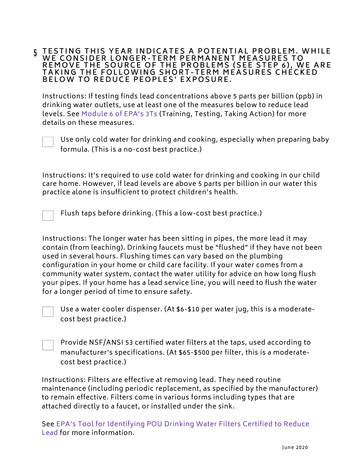### **5 TESTING THIS YEAR INDICATES A POTENTIAL PROBLEM. WHILE** WE CONSIDER LONGER-TERM PERMANENT MEASURES TO REMOVE THE SOURCE OF THE PROBLEMS (SEE STEP 6), WE ARE<br>TAKING TUE FOLLOWING SUORT TERM MEASURES CUECKER TAKING THE FOLLOWING SHORT-TERM MEASURES CHECKED<br>PELOW TO BEDUCE BEOBLES' EXPOSURE B E LOW TO REDUCE PEOPLES' EXPOSURE.

[Instructions: If testing finds lead concentrations above 5 parts per billion \(ppb\) in](https://www.epa.gov/sites/production/files/2018-09/documents/module_6_remediation_options_508.pdf) drinking water outlets, use at least one of the measures below to reduce lead levels. See Module 6 of EPA's 3Ts (Training, Testing, Taking Action) for more details on these measures.



Use only cold water for drinking and cooking, especially when preparing baby formula. (This is a no-cost best practice.)

Instructions: It's required to use cold water for drinking and cooking in our child care home. However, if lead levels are above 5 parts per billion in our water this practice alone is insufficient to protect children's health.

Flush taps before drinking. (This a low-cost best practice.)

Instructions: The longer water has been sitting in pipes, the more lead it may contain (from leaching). Drinking faucets must be "flushed" if they have not been used in several hours. Flushing times can vary based on the plumbing configuration in your home or child care facility. If your water comes from a community water system, contact the water utility for advice on how long flush your pipes. If your home has a lead service line, you will need to flush the water for a longer period of time to ensure safety.



Use a water cooler dispenser. (At \$6-\$10 per water jug, this is a moderatecost best practice.)

Provide NSF/ANSI 53 certified water filters at the taps, used according to manufacturer's specifications. (At \$65-\$500 per filter, this is a moderatecost best practice.)

Instructions: Filters are effective at removing lead. They need routine [maintenance \(including periodic replacement, as specified by the manufacturer\)](https://www.epa.gov/water-research/consumer-tool-identifying-pou-drinking-water-filters-certified-reduce-lead) to remain effective. Filters come in various forms including types that are attached directly to a faucet, or installed under the sink.

See EPA's Tool for Identifying POU Drinking Water Filters Certified to Reduce Lead for more information.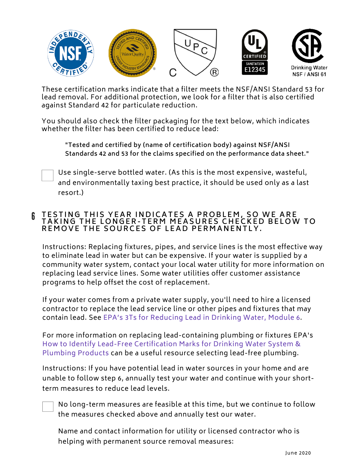

[These certification marks indicate that a filter meets the NSF/ANSI Standard 53 for](https://www.epa.gov/water-research/consumer-tool-identifying-pou-drinking-water-filters-certified-reduce-lead) lead removal. For additional protection, we look for a filter that is also certified against Standard 42 for particulate reduction.

You should also check the filter packaging for the text below, which indicates whether the filter has been certified to reduce lead:

**"Tested and certified by (name of certification body) against NSF/ANSI Standards 42 and 53 for the claims specified on the performance data sheet."**

Use single-serve bottled water. (As this is the most expensive, wasteful, and environmentally taxing best practice, it should be used only as a last resort.)

# 6 **T E S T I N G T H I S Y E A R I N D I C A T E S A P R O B L E M , S O W E A R E T A K I N G T H E L O N G E R - T E R M M E A S U R E S C H E C K E D B E L O W T O** REMOVE THE SOURCES OF LEAD PERMANENTLY.

Instructions: Replacing fixtures, pipes, and service lines is the most effective way to eliminate lead in water but can be expensive. If your water is supplied by a [community water system, contact your local water utility for more information on](https://www.nsf.org/newsroom_pdf/Lead_free_certification_marks.pdf) replacing lead service lines. Some water utilities offer customer assistance programs to help offset the cost of replacement.

If your water comes from a private water supply, you'll need to hire a licensed contractor to replace the lead service line or other pipes and fixtures that may contain lead. See EPA's 3Ts for Reducing Lead in Drinking Water, Module 6.

For more information on replacing lead-containing plumbing or fixtures EPA's How to Identify Lead-Free Certification Marks for Drinking Water System & Plumbing Products can be a useful resource selecting lead-free plumbing.

Instructions: If you have potential lead in water sources in your home and are unable to follow step 6, annually test your water and continue with your shortterm measures to reduce lead levels.

No long-term measures are feasible at this time, but we continue to follow the measures checked above and annually test our water.

Name and contact information for utility or licensed contractor who is helping with permanent source removal measures: